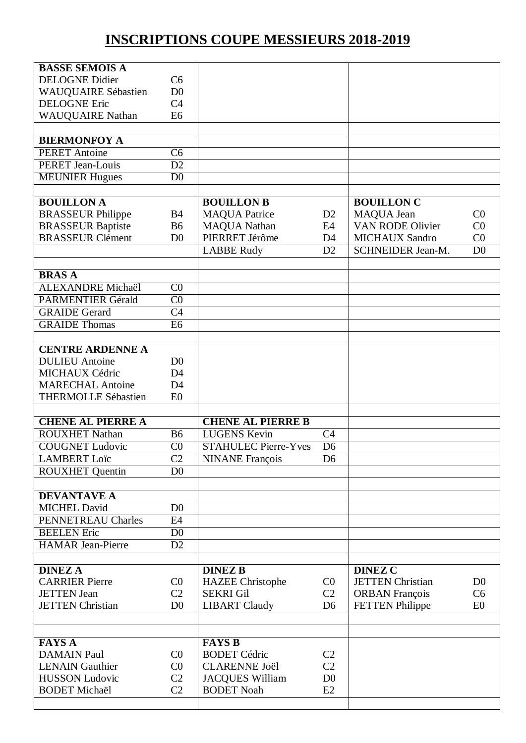## **INSCRIPTIONS COUPE MESSIEURS 2018-2019**

| <b>BASSE SEMOIS A</b>                          |                                   |                                             |                 |                                                 |                |
|------------------------------------------------|-----------------------------------|---------------------------------------------|-----------------|-------------------------------------------------|----------------|
| <b>DELOGNE Didier</b>                          | C <sub>6</sub>                    |                                             |                 |                                                 |                |
| <b>WAUQUAIRE Sébastien</b>                     | D <sub>0</sub>                    |                                             |                 |                                                 |                |
| <b>DELOGNE Eric</b>                            | C <sub>4</sub>                    |                                             |                 |                                                 |                |
| <b>WAUQUAIRE Nathan</b>                        | E <sub>6</sub>                    |                                             |                 |                                                 |                |
|                                                |                                   |                                             |                 |                                                 |                |
| <b>BIERMONFOY A</b>                            |                                   |                                             |                 |                                                 |                |
| <b>PERET Antoine</b>                           | $\overline{\text{C6}}$            |                                             |                 |                                                 |                |
| <b>PERET Jean-Louis</b>                        | $\overline{D2}$                   |                                             |                 |                                                 |                |
| <b>MEUNIER Hugues</b>                          | $\overline{D0}$                   |                                             |                 |                                                 |                |
|                                                |                                   |                                             |                 |                                                 |                |
| <b>BOUILLON A</b>                              |                                   | <b>BOUILLON B</b>                           |                 | <b>BOUILLON C</b>                               |                |
| <b>BRASSEUR Philippe</b>                       | B <sub>4</sub>                    | <b>MAQUA Patrice</b>                        | D2              | MAQUA Jean                                      | C <sub>0</sub> |
| <b>BRASSEUR Baptiste</b>                       | <b>B6</b>                         | <b>MAQUA Nathan</b>                         | E4              | VAN RODE Olivier                                | CO             |
| <b>BRASSEUR Clément</b>                        | D <sub>0</sub>                    | PIERRET Jérôme                              | D <sub>4</sub>  | <b>MICHAUX Sandro</b>                           | CO             |
|                                                |                                   | <b>LABBE Rudy</b>                           | D2              | <b>SCHNEIDER Jean-M.</b>                        | D <sub>0</sub> |
|                                                |                                   |                                             |                 |                                                 |                |
| <b>BRASA</b>                                   |                                   |                                             |                 |                                                 |                |
| <b>ALEXANDRE Michaël</b>                       | CO                                |                                             |                 |                                                 |                |
| <b>PARMENTIER Gérald</b>                       | CO                                |                                             |                 |                                                 |                |
| <b>GRAIDE</b> Gerard                           | $\overline{C4}$                   |                                             |                 |                                                 |                |
| <b>GRAIDE Thomas</b>                           | E6                                |                                             |                 |                                                 |                |
|                                                |                                   |                                             |                 |                                                 |                |
| <b>CENTRE ARDENNE A</b>                        |                                   |                                             |                 |                                                 |                |
| <b>DULIEU</b> Antoine                          | D <sub>0</sub>                    |                                             |                 |                                                 |                |
| <b>MICHAUX Cédric</b>                          | D <sub>4</sub>                    |                                             |                 |                                                 |                |
| <b>MARECHAL Antoine</b>                        | D <sub>4</sub>                    |                                             |                 |                                                 |                |
|                                                |                                   |                                             |                 |                                                 |                |
| <b>THERMOLLE Sébastien</b>                     | E <sub>0</sub>                    |                                             |                 |                                                 |                |
|                                                |                                   |                                             |                 |                                                 |                |
| <b>CHENE AL PIERRE A</b>                       |                                   | <b>CHENE AL PIERRE B</b>                    |                 |                                                 |                |
| <b>ROUXHET Nathan</b>                          | $\overline{B6}$                   | <b>LUGENS Kevin</b>                         | $\overline{C4}$ |                                                 |                |
| <b>COUGNET Ludovic</b>                         | CO                                | <b>STAHULEC Pierre-Yves</b>                 | D <sub>6</sub>  |                                                 |                |
| <b>LAMBERT</b> Loïc                            | C <sub>2</sub>                    | <b>NINANE</b> François                      | D <sub>6</sub>  |                                                 |                |
| <b>ROUXHET</b> Quentin                         | D <sub>0</sub>                    |                                             |                 |                                                 |                |
|                                                |                                   |                                             |                 |                                                 |                |
| <b>DEVANTAVE A</b>                             |                                   |                                             |                 |                                                 |                |
| <b>MICHEL David</b>                            | D <sub>0</sub>                    |                                             |                 |                                                 |                |
| PENNETREAU Charles                             | E4                                |                                             |                 |                                                 |                |
| <b>BEELEN</b> Eric<br><b>HAMAR Jean-Pierre</b> | D <sub>0</sub><br>$\overline{D2}$ |                                             |                 |                                                 |                |
|                                                |                                   |                                             |                 |                                                 |                |
| <b>DINEZ A</b>                                 |                                   | <b>DINEZ B</b>                              |                 | <b>DINEZ C</b>                                  |                |
| <b>CARRIER Pierre</b>                          | C <sub>0</sub>                    |                                             | C <sub>0</sub>  | <b>JETTEN</b> Christian                         | D <sub>0</sub> |
| <b>JETTEN</b> Jean                             | C <sub>2</sub>                    | <b>HAZEE</b> Christophe<br><b>SEKRI Gil</b> | C2              |                                                 | C <sub>6</sub> |
| <b>JETTEN Christian</b>                        | D <sub>0</sub>                    | <b>LIBART Claudy</b>                        | D <sub>6</sub>  | <b>ORBAN</b> François<br><b>FETTEN Philippe</b> | E <sub>0</sub> |
|                                                |                                   |                                             |                 |                                                 |                |
|                                                |                                   |                                             |                 |                                                 |                |
| <b>FAYS A</b>                                  |                                   | <b>FAYS B</b>                               |                 |                                                 |                |
| <b>DAMAIN Paul</b>                             | C <sub>0</sub>                    | <b>BODET Cédric</b>                         | C <sub>2</sub>  |                                                 |                |
| <b>LENAIN</b> Gauthier                         | C <sub>0</sub>                    | <b>CLARENNE Joël</b>                        | C <sub>2</sub>  |                                                 |                |
| <b>HUSSON Ludovic</b>                          | C <sub>2</sub>                    | <b>JACQUES William</b>                      | D <sub>0</sub>  |                                                 |                |
| <b>BODET Michaël</b>                           | C <sub>2</sub>                    | <b>BODET Noah</b>                           | E2              |                                                 |                |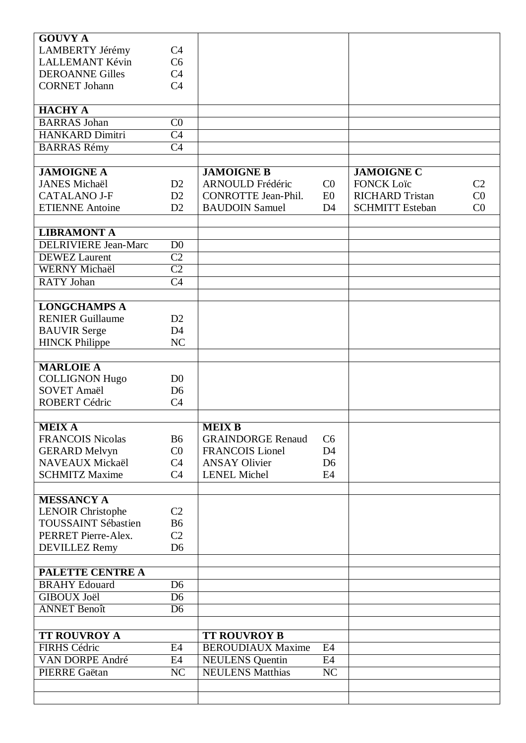| <b>GOUVY A</b>                            |                                  |                            |                        |                        |                |
|-------------------------------------------|----------------------------------|----------------------------|------------------------|------------------------|----------------|
| <b>LAMBERTY Jérémy</b>                    | C <sub>4</sub>                   |                            |                        |                        |                |
| <b>LALLEMANT Kévin</b>                    | C <sub>6</sub>                   |                            |                        |                        |                |
| <b>DEROANNE Gilles</b>                    | C <sub>4</sub>                   |                            |                        |                        |                |
| <b>CORNET Johann</b>                      | C <sub>4</sub>                   |                            |                        |                        |                |
|                                           |                                  |                            |                        |                        |                |
| <b>HACHY A</b>                            |                                  |                            |                        |                        |                |
| <b>BARRAS</b> Johan                       | CO                               |                            |                        |                        |                |
| <b>HANKARD Dimitri</b>                    | C <sub>4</sub>                   |                            |                        |                        |                |
| <b>BARRAS Rémy</b>                        | $\overline{C4}$                  |                            |                        |                        |                |
|                                           |                                  |                            |                        |                        |                |
| <b>JAMOIGNE A</b>                         |                                  | <b>JAMOIGNE B</b>          |                        | <b>JAMOIGNE C</b>      |                |
| <b>JANES Michaël</b>                      | D2                               | ARNOULD Frédéric           | C <sub>0</sub>         | <b>FONCK Loïc</b>      | C <sub>2</sub> |
| <b>CATALANO J-F</b>                       | D2                               | <b>CONROTTE Jean-Phil.</b> | E0                     | <b>RICHARD Tristan</b> | CO             |
| <b>ETIENNE Antoine</b>                    | D2                               | <b>BAUDOIN Samuel</b>      | D <sub>4</sub>         | <b>SCHMITT Esteban</b> | CO             |
|                                           |                                  |                            |                        |                        |                |
| <b>LIBRAMONT A</b>                        |                                  |                            |                        |                        |                |
| <b>DELRIVIERE Jean-Marc</b>               | D <sub>0</sub>                   |                            |                        |                        |                |
| <b>DEWEZ</b> Laurent                      | $\overline{C2}$                  |                            |                        |                        |                |
| <b>WERNY Michaël</b>                      | $\overline{C2}$                  |                            |                        |                        |                |
| <b>RATY</b> Johan                         | $\overline{C4}$                  |                            |                        |                        |                |
|                                           |                                  |                            |                        |                        |                |
| <b>LONGCHAMPS A</b>                       |                                  |                            |                        |                        |                |
| <b>RENIER Guillaume</b>                   | D2                               |                            |                        |                        |                |
| <b>BAUVIR Serge</b>                       | D <sub>4</sub>                   |                            |                        |                        |                |
| <b>HINCK Philippe</b>                     | NC                               |                            |                        |                        |                |
|                                           |                                  |                            |                        |                        |                |
| <b>MARLOIE A</b>                          |                                  |                            |                        |                        |                |
| <b>COLLIGNON Hugo</b>                     | D <sub>0</sub>                   |                            |                        |                        |                |
| <b>SOVET Amaël</b>                        | D <sub>6</sub>                   |                            |                        |                        |                |
| <b>ROBERT Cédric</b>                      | C <sub>4</sub>                   |                            |                        |                        |                |
|                                           |                                  |                            |                        |                        |                |
| <b>MEIXA</b>                              |                                  | <b>MEIX B</b>              |                        |                        |                |
| <b>FRANCOIS Nicolas</b>                   | <b>B6</b>                        | <b>GRAINDORGE Renaud</b>   | C <sub>6</sub>         |                        |                |
| <b>GERARD Melvyn</b>                      | CO                               | <b>FRANCOIS Lionel</b>     | D <sub>4</sub>         |                        |                |
| NAVEAUX Mickaël                           | C <sub>4</sub>                   | <b>ANSAY Olivier</b>       | D <sub>6</sub>         |                        |                |
| <b>SCHMITZ Maxime</b>                     | C <sub>4</sub>                   | <b>LENEL Michel</b>        | E4                     |                        |                |
|                                           |                                  |                            |                        |                        |                |
| <b>MESSANCY A</b>                         |                                  |                            |                        |                        |                |
| <b>LENOIR Christophe</b>                  | C <sub>2</sub>                   |                            |                        |                        |                |
| <b>TOUSSAINT Sébastien</b>                | <b>B6</b>                        |                            |                        |                        |                |
| PERRET Pierre-Alex.                       | C <sub>2</sub>                   |                            |                        |                        |                |
| <b>DEVILLEZ Remy</b>                      | D <sub>6</sub>                   |                            |                        |                        |                |
|                                           |                                  |                            |                        |                        |                |
| PALETTE CENTRE A                          |                                  |                            |                        |                        |                |
| <b>BRAHY Edouard</b>                      | D <sub>6</sub>                   |                            |                        |                        |                |
| <b>GIBOUX Joël</b><br><b>ANNET Benoît</b> | D <sub>6</sub><br>D <sub>6</sub> |                            |                        |                        |                |
|                                           |                                  |                            |                        |                        |                |
| <b>TT ROUVROY A</b>                       |                                  | <b>TT ROUVROY B</b>        |                        |                        |                |
| <b>FIRHS Cédric</b>                       | E4                               | <b>BEROUDIAUX Maxime</b>   | E4                     |                        |                |
| VAN DORPE André                           | E4                               | <b>NEULENS</b> Quentin     | E4                     |                        |                |
| PIERRE Gaëtan                             | $\overline{\text{NC}}$           | <b>NEULENS Matthias</b>    | $\overline{\text{NC}}$ |                        |                |
|                                           |                                  |                            |                        |                        |                |
|                                           |                                  |                            |                        |                        |                |
|                                           |                                  |                            |                        |                        |                |